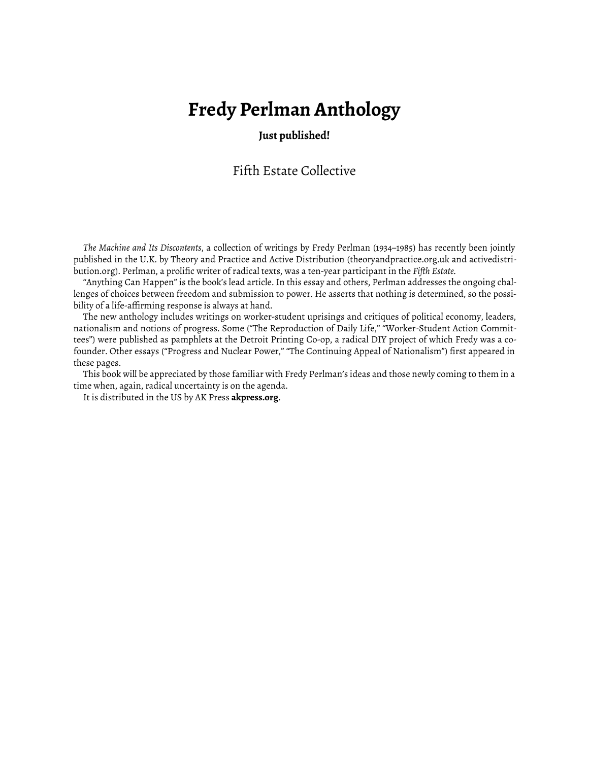## **Fredy Perlman Anthology**

## **Just published!**

## Fifth Estate Collective

*The Machine and Its Discontents*, a collection of writings by Fredy Perlman (1934–1985) has recently been jointly published in the U.K. by Theory and Practice and Active Distribution ([theoryandpractice.org.uk](http://www.theoryandpractice.org.uk/publication/machine-and-its-discontents) and [activedistri](https://www.activedistributionshop.org/shop/books/4621-the-machine-and-its-discontents-paperback.html)[bution.org\)](https://www.activedistributionshop.org/shop/books/4621-the-machine-and-its-discontents-paperback.html). Perlman, a prolific writer of radical texts, was a ten-year participant in the *Fiǡth Estate.*

"Anything Can Happen" is the book's lead article. In this essay and others, Perlman addresses the ongoing challenges of choices between freedom and submission to power. He asserts that nothing is determined, so the possibility of a life-affirming response is always at hand.

The new anthology includes writings on worker-student uprisings and critiques of political economy, leaders, nationalism and notions of progress. Some ("The Reproduction of Daily Life," "Worker-Student Action Committees") were published as pamphlets at the Detroit Printing Co-op, a radical DIY project of which Fredy was a cofounder. Other essays (["Progress and Nuclear Power,"](https://www.fifthestate.org/archive/297-april-18-1979/progress-nuclear-power/) ["The Continuing Appeal of Nationalism"](https://www.fifthestate.org/archive/373-fall-2006/the-continuing-appeal-of-nationalism/)) first appeared in these pages.

This book will be appreciated by those familiar with Fredy Perlman's ideas and those newly coming to them in a time when, again, radical uncertainty is on the agenda.

It is distributed in the US by AK Press **akpress.org**.